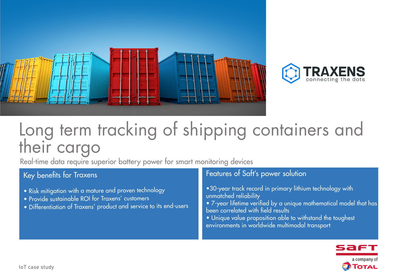



# Long term tracking of shipping containers and their cargo

Real-time data require superior battery power for smart monitoring devices

## Key benefits for Traxens

- Risk mitigation with a mature and proven technology
- Provide sustainable ROI for Traxens' customers
- Differentiation of Traxens' product and service to its end-users

## Features of Saft's power solution

- •30-year track record in primary lithium technology with unmatched reliability
- 7-year lifetime verified by a unique mathematical model that has been correlated with field results
- Unique value proposition able to withstand the toughest environments in worldwide multimodal transport